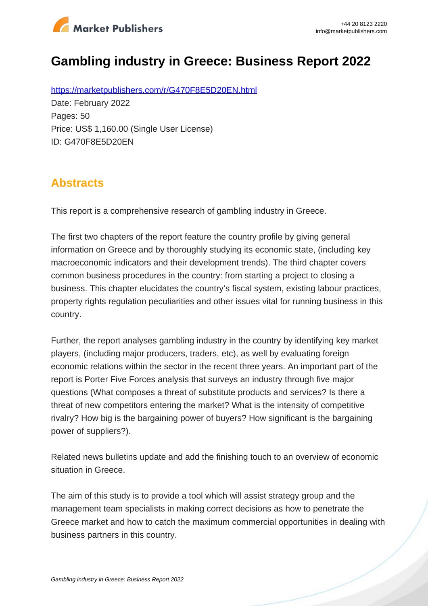

# **Gambling industry in Greece: Business Report 2022**

https://marketpublishers.com/r/G470F8E5D20EN.html Date: February 2022 Pages: 50 Price: US\$ 1,160.00 (Single User License) ID: G470F8E5D20EN

## **Abstracts**

This report is a comprehensive research of gambling industry in Greece.

The first two chapters of the report feature the country profile by giving general information on Greece and by thoroughly studying its economic state, (including key macroeconomic indicators and their development trends). The third chapter covers common business procedures in the country: from starting a project to closing a business. This chapter elucidates the country's fiscal system, existing labour practices, property rights regulation peculiarities and other issues vital for running business in this country.

Further, the report analyses gambling industry in the country by identifying key market players, (including major producers, traders, etc), as well by evaluating foreign economic relations within the sector in the recent three years. An important part of the report is Porter Five Forces analysis that surveys an industry through five major questions (What composes a threat of substitute products and services? Is there a threat of new competitors entering the market? What is the intensity of competitive rivalry? How big is the bargaining power of buyers? How significant is the bargaining power of suppliers?).

Related news bulletins update and add the finishing touch to an overview of economic situation in Greece.

The aim of this study is to provide a tool which will assist strategy group and the management team specialists in making correct decisions as how to penetrate the Greece market and how to catch the maximum commercial opportunities in dealing with business partners in this country.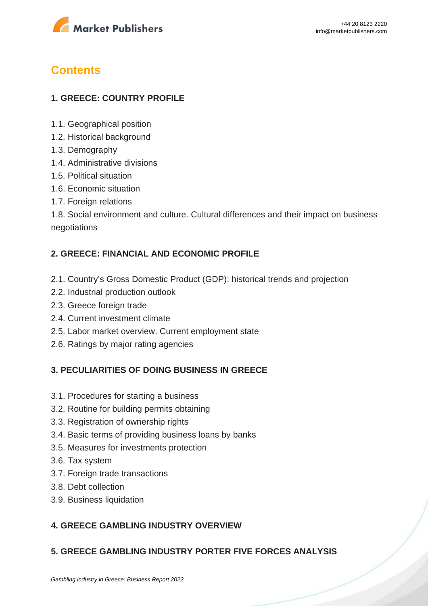

## **Contents**

## **1. GREECE: COUNTRY PROFILE**

- 1.1. Geographical position
- 1.2. Historical background
- 1.3. Demography
- 1.4. Administrative divisions
- 1.5. Political situation
- 1.6. Economic situation
- 1.7. Foreign relations

1.8. Social environment and culture. Cultural differences and their impact on business negotiations

## **2. GREECE: FINANCIAL AND ECONOMIC PROFILE**

- 2.1. Country's Gross Domestic Product (GDP): historical trends and projection
- 2.2. Industrial production outlook
- 2.3. Greece foreign trade
- 2.4. Current investment climate
- 2.5. Labor market overview. Current employment state
- 2.6. Ratings by major rating agencies

#### **3. PECULIARITIES OF DOING BUSINESS IN GREECE**

- 3.1. Procedures for starting a business
- 3.2. Routine for building permits obtaining
- 3.3. Registration of ownership rights
- 3.4. Basic terms of providing business loans by banks
- 3.5. Measures for investments protection
- 3.6. Tax system
- 3.7. Foreign trade transactions
- 3.8. Debt collection
- 3.9. Business liquidation

## **4. GREECE GAMBLING INDUSTRY OVERVIEW**

#### **5. GREECE GAMBLING INDUSTRY PORTER FIVE FORCES ANALYSIS**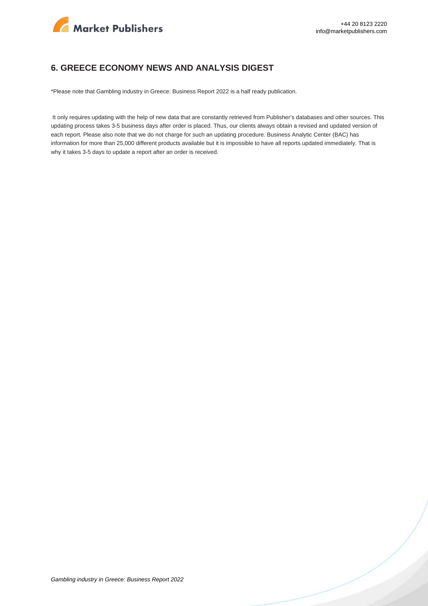

#### **6. GREECE ECONOMY NEWS AND ANALYSIS DIGEST**

\*Please note that Gambling industry in Greece: Business Report 2022 is a half ready publication.

 It only requires updating with the help of new data that are constantly retrieved from Publisher's databases and other sources. This updating process takes 3-5 business days after order is placed. Thus, our clients always obtain a revised and updated version of each report. Please also note that we do not charge for such an updating procedure. Business Analytic Center (BAC) has information for more than 25,000 different products available but it is impossible to have all reports updated immediately. That is why it takes 3-5 days to update a report after an order is received.